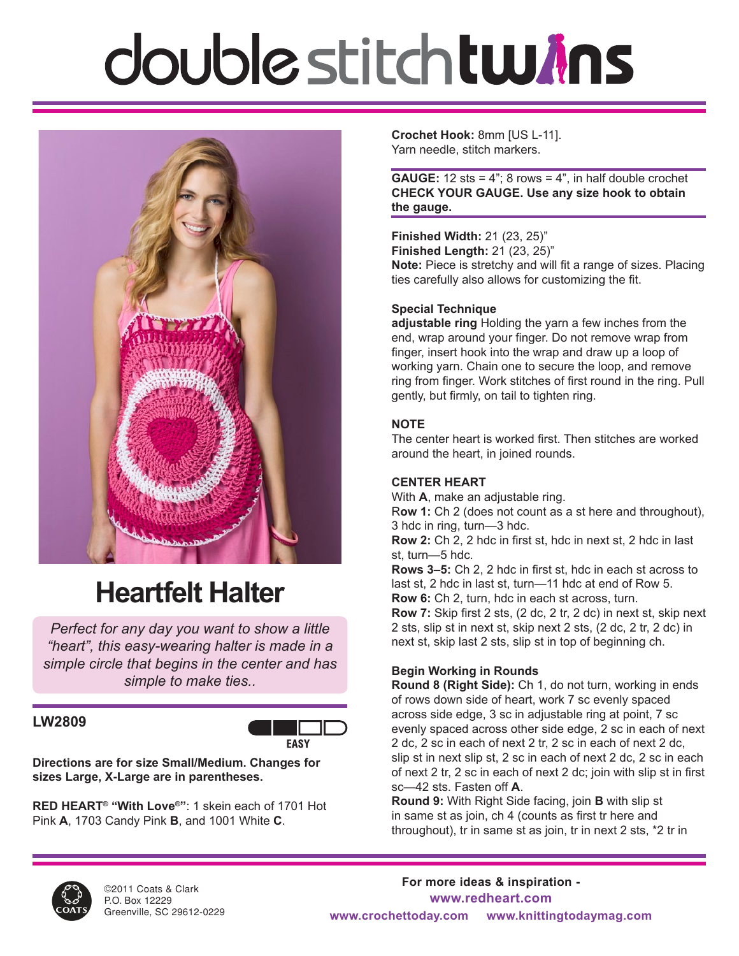# double stitch tw*i*ns



## **Heartfelt Halter**

*Perfect for any day you want to show a little "heart", this easy-wearing halter is made in a simple circle that begins in the center and has simple to make ties..*

## **LW2809**



**Directions are for size Small/Medium. Changes for sizes Large, X-Large are in parentheses.**

**RED HEART® "With Love®"**: 1 skein each of 1701 Hot Pink **A**, 1703 Candy Pink **B**, and 1001 White **C**.

**Crochet Hook:** 8mm [US L-11]. Yarn needle, stitch markers.

**GAUGE:** 12 sts =  $4$ "; 8 rows =  $4$ ", in half double crochet **CHECK YOUR GAUGE. Use any size hook to obtain the gauge.**

**Finished Width:** 21 (23, 25)" **Finished Length:** 21 (23, 25)" **Note:** Piece is stretchy and will fit a range of sizes. Placing ties carefully also allows for customizing the fit.

## **Special Technique**

**adjustable ring** Holding the yarn a few inches from the end, wrap around your finger. Do not remove wrap from finger, insert hook into the wrap and draw up a loop of working yarn. Chain one to secure the loop, and remove ring from finger. Work stitches of first round in the ring. Pull gently, but firmly, on tail to tighten ring.

## **NOTE**

The center heart is worked first. Then stitches are worked around the heart, in joined rounds.

## **CENTER HEART**

With **A**, make an adjustable ring. R**ow 1:** Ch 2 (does not count as a st here and throughout), 3 hdc in ring, turn—3 hdc.

**Row 2:** Ch 2, 2 hdc in first st, hdc in next st, 2 hdc in last st, turn—5 hdc.

**Rows 3–5:** Ch 2, 2 hdc in first st, hdc in each st across to last st, 2 hdc in last st, turn—11 hdc at end of Row 5. **Row 6:** Ch 2, turn, hdc in each st across, turn.

**Row 7:** Skip first 2 sts, (2 dc, 2 tr, 2 dc) in next st, skip next 2 sts, slip st in next st, skip next 2 sts, (2 dc, 2 tr, 2 dc) in next st, skip last 2 sts, slip st in top of beginning ch.

## **Begin Working in Rounds**

**Round 8 (Right Side):** Ch 1, do not turn, working in ends of rows down side of heart, work 7 sc evenly spaced across side edge, 3 sc in adjustable ring at point, 7 sc evenly spaced across other side edge, 2 sc in each of next 2 dc, 2 sc in each of next 2 tr, 2 sc in each of next 2 dc, slip st in next slip st, 2 sc in each of next 2 dc, 2 sc in each of next 2 tr, 2 sc in each of next 2 dc; join with slip st in first sc—42 sts. Fasten off **A**.

**Round 9:** With Right Side facing, join **B** with slip st in same st as join, ch 4 (counts as first tr here and throughout), tr in same st as join, tr in next 2 sts, \*2 tr in